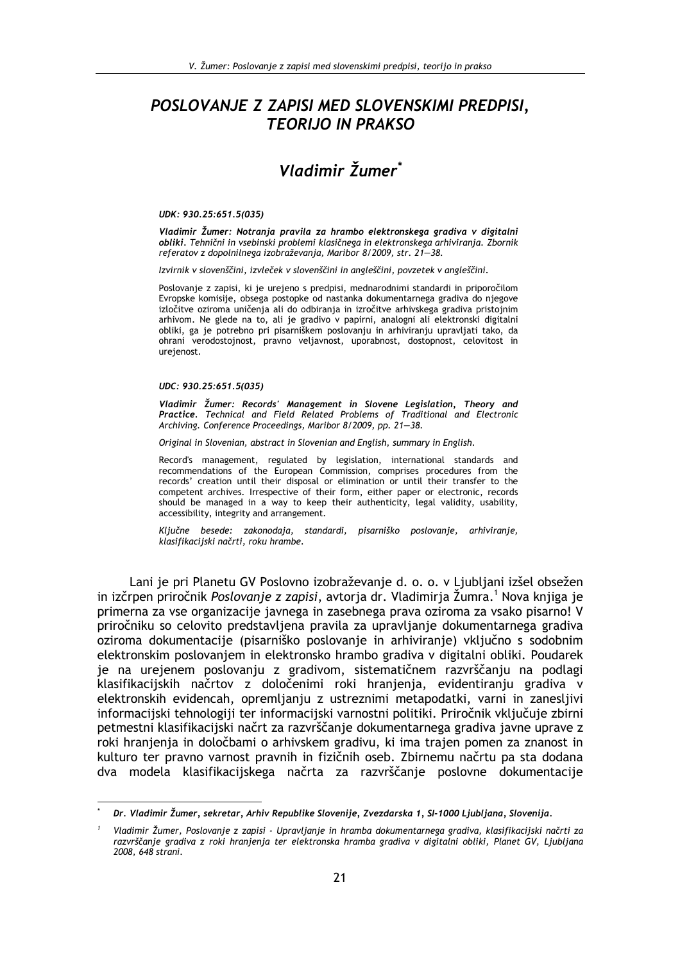# POSLOVANJE Z ZAPISI MED SLOVENSKIMI PREDPISI, **TEORIJO IN PRAKSO**

# Vladimir Žumer\*

#### UDK: 930.25:651.5(035)

Vladimir Žumer: Notrania pravila za hrambo elektronskega gradiva v digitalni obliki. Tehnični in vsebinski problemi klasičnega in elektronskega arhiviranja. Zbornik referatov z dopolnilnega izobraževanja, Maribor 8/2009, str. 21-38.

Izvirnik v slovenščini, izvleček v slovenščini in angleščini, povzetek v angleščini.

Poslovanje z zapisi, ki je urejeno s predpisi, mednarodnimi standardi in priporočilom Evropske komisije, obsega postopke od nastanka dokumentarnega gradiva do njegove izločitve oziroma uničenja ali do odbiranja in izročitve arhivskega gradiva pristojnim arhivom. Ne glede na to, ali je gradivo v papirni, analogni ali elektronski digitalni obliki, ga je potrebno pri pisarniškem poslovanju in arhiviranju upravljati tako, da ohrani verodostojnost, pravno veljavnost, uporabnost, dostopnost, celovitost in urejenost.

#### UDC: 930.25:651.5(035)

Vladimir Žumer: Records' Management in Slovene Legislation, Theory and<br>Practice. Technical and Field Related Problems of Traditional and Electronic Archiving. Conference Proceedings, Maribor 8/2009, pp. 21-38.

Original in Slovenian, abstract in Slovenian and English, summary in English.

Record's management, regulated by legislation, international standards and recommendations of the European Commission, comprises procedures from the records' creation until their disposal or elimination or until their transfer to the competent archives. Irrespective of their form, either paper or electronic, records should be managed in a way to keep their authenticity, legal validity, usability, accessibility, integrity and arrangement.

Ključne besede: zakonodaja, standardi, pisarniško poslovanje, arhiviranje, klasifikacijski načrti, roku hrambe.

Lani je pri Planetu GV Poslovno izobraževanje d. o. o. v Ljubljani izšel obsežen in izčrpen priročnik Poslovanje z zapisi, avtorja dr. Vladimirja Žumra.<sup>1</sup> Nova knjiga je primerna za vse organizacije javnega in zasebnega prava oziroma za vsako pisarno! V priročniku so celovito predstavljena pravila za upravljanje dokumentarnega gradiva oziroma dokumentacije (pisarniško poslovanje in arhiviranje) vključno s sodobnim elektronskim poslovanjem in elektronsko hrambo gradiva v digitalni obliki. Poudarek je na urejenem poslovanju z gradivom, sistematičnem razvrščanju na podlagi klasifikacijskih načrtov z določenimi roki hranjenja, evidentiranju gradiva v elektronskih evidencah, opremljanju z ustreznimi metapodatki, varni in zanesljivi informacijski tehnologiji ter informacijski varnostni politiki. Priročnik vključuje zbirni petmestni klasifikacijski načrt za razvrščanje dokumentarnega gradiva javne uprave z roki hranjenja in določbami o arhivskem gradivu, ki ima trajen pomen za znanost in kulturo ter pravno varnost pravnih in fizičnih oseb. Zbirnemu načrtu pa sta dodana dva modela klasifikacijskega načrta za razvrščanje poslovne dokumentacije

Dr. Vladimir Žumer, sekretar, Arhiv Republike Slovenije, Zvezdarska 1, SI-1000 Ljubljana, Slovenija.

Vladimir Žumer, Poslovanje z zapisi - Upravljanje in hramba dokumentarnega gradiva, klasifikacijski načrti za razvrščanje gradiva z roki hranjenja ter elektronska hramba gradiva v digitalni obliki, Planet GV, Ljubljana 2008, 648 strani.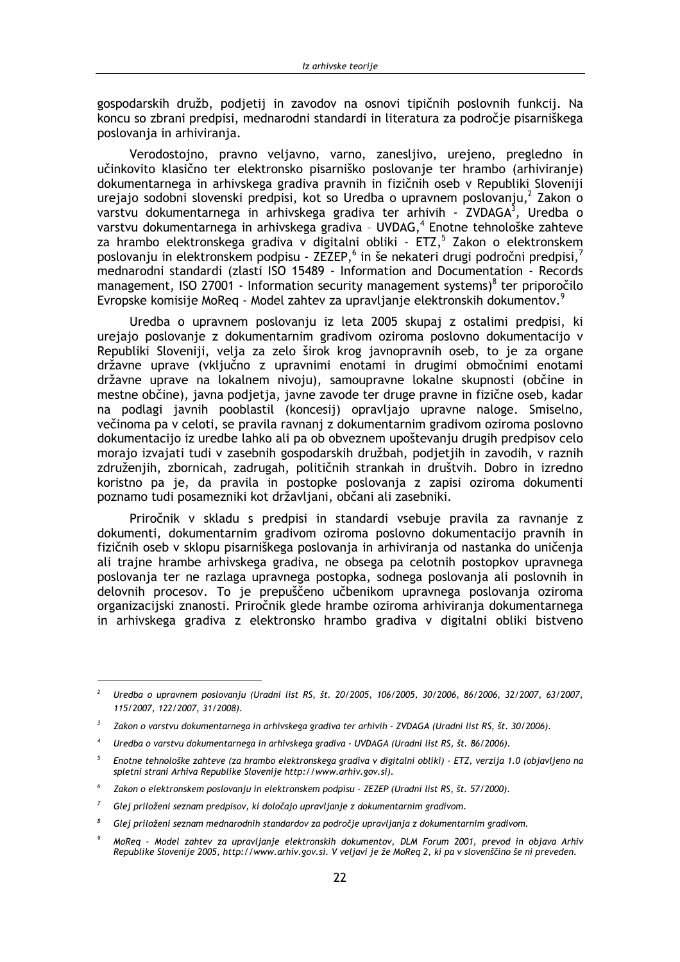gospodarskih družb, podjetij in zavodov na osnovi tipičnih poslovnih funkcij. Na koncu so zbrani predpisi, mednarodni standardi in literatura za področje pisarniškega poslovanja in arhiviranja.

Verodostojno, pravno veljavno, varno, zanesljivo, urejeno, pregledno in učinkovito klasično ter elektronsko pisarniško poslovanje ter hrambo (arhiviranje) dokumentarnega in arhivskega gradiva pravnih in fizičnih oseb v Republiki Sloveniji urejajo sodobni slovenski predpisi, kot so Uredba o upravnem poslovanju,<sup>2</sup> Zakon o varstvu dokumentarnega in arhivskega gradiva ter arhivih - ZVDAGA<sup>3</sup>, Uredba o varstvu dokumentarnega in arhivskega gradiva - UVDAG,<sup>4</sup> Enotne tehnološke zahteve za hrambo elektronskega gradiva v digitalni obliki - ETZ,<sup>5</sup> Zakon o elektronskem poslovanju in elektronskem podpisu - ZEZEP,<sup>6</sup> in še nekateri drugi področni predpisi,<sup>7</sup> mednarodni standardi (zlasti ISO 15489 - Information and Documentation - Records management, ISO 27001 - Information security management systems)<sup>8</sup> ter priporočilo Evropske komisije MoReg - Model zahtev za upravljanje elektronskih dokumentov.<sup>9</sup>

Uredba o upravnem poslovanju iz leta 2005 skupaj z ostalimi predpisi, ki urejajo poslovanje z dokumentarnim gradivom oziroma poslovno dokumentacijo v Republiki Sloveniji, velja za zelo širok krog javnopravnih oseb, to je za organe državne uprave (vključno z upravnimi enotami in drugimi območnimi enotami državne uprave na lokalnem nivoju), samoupravne lokalne skupnosti (občine in mestne občine), javna podjetja, javne zavode ter druge pravne in fizične oseb, kadar na podlagi javnih pooblastil (koncesij) opravljajo upravne naloge. Smiselno, večinoma pa v celoti, se pravila ravnanj z dokumentarnim gradivom oziroma poslovno dokumentacijo iz uredbe lahko ali pa ob obveznem upoštevanju drugih predpisov celo morajo izvajati tudi v zasebnih gospodarskih družbah, podjetjih in zavodih, v raznih združenjih, zbornicah, zadrugah, političnih strankah in društvih. Dobro in izredno koristno pa je, da pravila in postopke poslovanja z zapisi oziroma dokumenti poznamo tudi posamezniki kot državliani, občani ali zasebniki.

Priročnik v skladu s predpisi in standardi vsebuje pravila za ravnanje z dokumenti, dokumentarnim gradivom oziroma poslovno dokumentacijo pravnih in fizičnih oseb v sklopu pisarniškega poslovanja in arhiviranja od nastanka do uničenja ali trajne hrambe arhivskega gradiva, ne obsega pa celotnih postopkov upravnega poslovanja ter ne razlaga upravnega postopka, sodnega poslovanja ali poslovnih in delovnih procesov. To je prepuščeno učbenikom upravnega poslovanja oziroma organizacijski znanosti. Priročnik glede hrambe oziroma arhiviranja dokumentarnega in arhivskega gradiva z elektronsko hrambo gradiva v digitalni obliki bistveno

Uredba o upravnem poslovanju (Uradni list RS, št. 20/2005, 106/2005, 30/2006, 86/2006, 32/2007, 63/2007, 115/2007, 122/2007, 31/2008).

 $\overline{\mathbf{3}}$ Zakon o varstvu dokumentarnega in arhivskega gradiva ter arhivih - ZVDAGA (Uradni list RS, št. 30/2006).

Uredba o varstvu dokumentarnega in arhivskega gradiva - UVDAGA (Uradni list RS, št. 86/2006).

 $\overline{5}$ Enotne tehnološke zahteve (za hrambo elektronskega gradiva v digitalni obliki) - ETZ, verzija 1.0 (objavljeno na spletni strani Arhiva Republike Slovenije http://www.arhiv.gov.si).

Zakon o elektronskem poslovanju in elektronskem podpisu - ZEZEP (Uradni list RS, št. 57/2000).

 $\overline{7}$ Glej priloženi seznam predpisov, ki določajo upravljanje z dokumentarnim gradivom.

Glej priloženi seznam mednarodnih standardov za področje upravljanja z dokumentarnim gradivom.

MoReq - Model zahtev za upravljanje elektronskih dokumentov, DLM Forum 2001, prevod in objava Arhiv Republike Slovenije 2005, http://www.arhiv.gov.si. V veljavi je že MoReq 2, ki pa v slovenščino še ni preveden.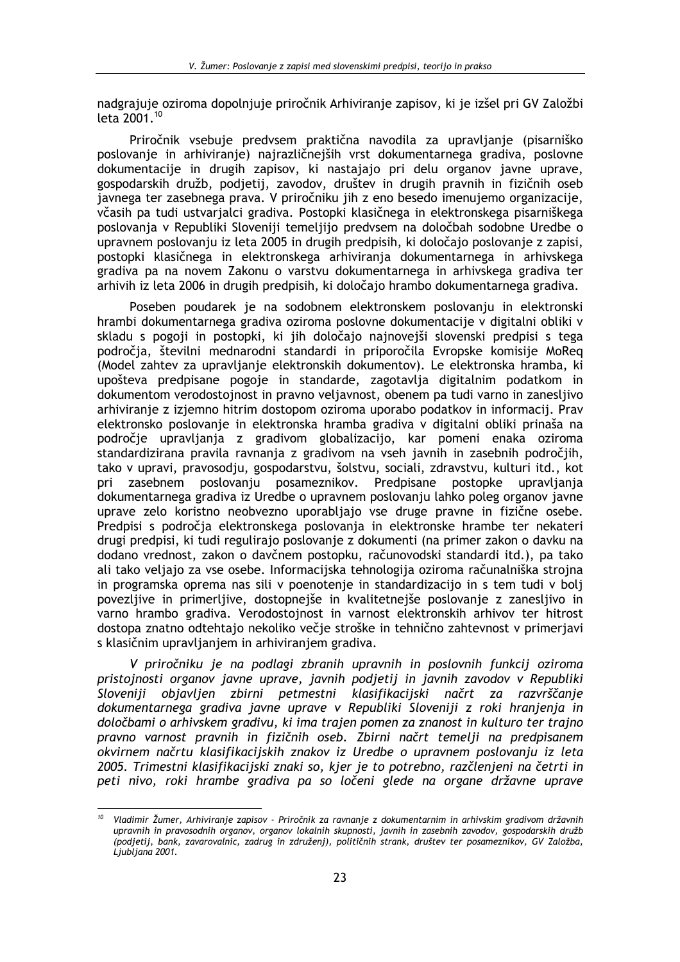nadgrajuje oziroma dopolnjuje priročnik Arhiviranje zapisov, ki je izšel pri GV Založbi leta 2001.<sup>10</sup>

Priročnik vsebuje predvsem praktična navodila za upravljanje (pisarniško poslovanje in arhiviranje) najrazličnejših vrst dokumentarnega gradiva, poslovne dokumentacije in drugih zapisov, ki nastajajo pri delu organov javne uprave, gospodarskih družb, podjetij, zavodov, društev in drugih pravnih in fizičnih oseb javnega ter zasebnega prava. V priročniku jih z eno besedo imenujemo organizacije, včasih pa tudi ustvarjalci gradiva. Postopki klasičnega in elektronskega pisarniškega poslovanja v Republiki Sloveniji temeljijo predvsem na določbah sodobne Uredbe o upravnem poslovanju iz leta 2005 in drugih predpisih, ki določajo poslovanje z zapisi, postopki klasičnega in elektronskega arhiviranja dokumentarnega in arhivskega gradiva pa na novem Zakonu o varstvu dokumentarnega in arhivskega gradiva ter arhivih iz leta 2006 in drugih predpisih, ki določajo hrambo dokumentarnega gradiva.

Poseben poudarek je na sodobnem elektronskem poslovanju in elektronski hrambi dokumentarnega gradiva oziroma poslovne dokumentacije v digitalni obliki v skladu s pogoji in postopki, ki jih določajo najnovejši slovenski predpisi s tega področja, številni mednarodni standardi in priporočila Evropske komisije MoReg (Model zahtev za upravljanje elektronskih dokumentov). Le elektronska hramba, ki upošteva predpisane pogoje in standarde, zagotavlja digitalnim podatkom in dokumentom verodostojnost in pravno veljavnost, obenem pa tudi varno in zanesljivo arhiviranje z izjemno hitrim dostopom oziroma uporabo podatkov in informacij. Prav elektronsko poslovanje in elektronska hramba gradiva v digitalni obliki prinaša na področje upravljanja z gradivom globalizacijo, kar pomeni enaka oziroma standardizirana pravila ravnanja z gradivom na vseh javnih in zasebnih področjih, tako v upravi, pravosodju, gospodarstvu, šolstvu, sociali, zdravstvu, kulturi itd., kot zasebnem poslovaniu posameznikov. Predpisane postopke pri upravliania dokumentarnega gradiva iz Uredbe o upravnem poslovanju lahko poleg organov javne uprave zelo koristno neobvezno uporabliajo vse druge pravne in fizične osebe. Predpisi s področja elektronskega poslovanja in elektronske hrambe ter nekateri drugi predpisi, ki tudi regulirajo poslovanje z dokumenti (na primer zakon o davku na dodano vrednost, zakon o davčnem postopku, računovodski standardi itd.), pa tako ali tako veliajo za vse osebe. Informacijska tehnologija oziroma računalniška strojna in programska oprema nas sili v poenotenje in standardizacijo in s tem tudi v bolj povezljive in primerljive, dostopnejše in kvalitetnejše poslovanje z zanesljivo in varno hrambo gradiva. Verodostojnost in varnost elektronskih arhivov ter hitrost dostopa znatno odtehtajo nekoliko večje stroške in tehnično zahtevnost v primerjavi s klasičnim upravljanjem in arhiviranjem gradiva.

V priročniku je na podlagi zbranih upravnih in poslovnih funkcij oziroma pristojnosti organov javne uprave, javnih podjetij in javnih zavodov v Republiki Sloveniji objavljen zbirni petmestni klasifikacijski načrt za razvrščanje dokumentarnega gradiva javne uprave v Republiki Sloveniji z roki hranjenia in določbami o arhivskem gradivu, ki ima trajen pomen za znanost in kulturo ter trajno pravno varnost pravnih in fizičnih oseb. Zbirni načrt temelji na predpisanem okvirnem načrtu klasifikacijskih znakov iz Uredbe o upravnem poslovanju iz leta 2005. Trimestni klasifikacijski znaki so, kjer je to potrebno, razčlenjeni na četrti in peti nivo, roki hrambe gradiva pa so ločeni glede na organe državne uprave

<sup>&</sup>lt;sup>10</sup> Vladimir Žumer, Arhiviranje zapisov - Priročnik za ravnanje z dokumentarnim in arhivskim gradivom državnih upravnih in pravosodnih organov, organov lokalnih skupnosti, javnih in zasebnih zavodov, gospodarskih družb (podjetij, bank, zavarovalnic, zadrug in združenj), političnih strank, društev ter posameznikov, GV Založba, Ljubljana 2001.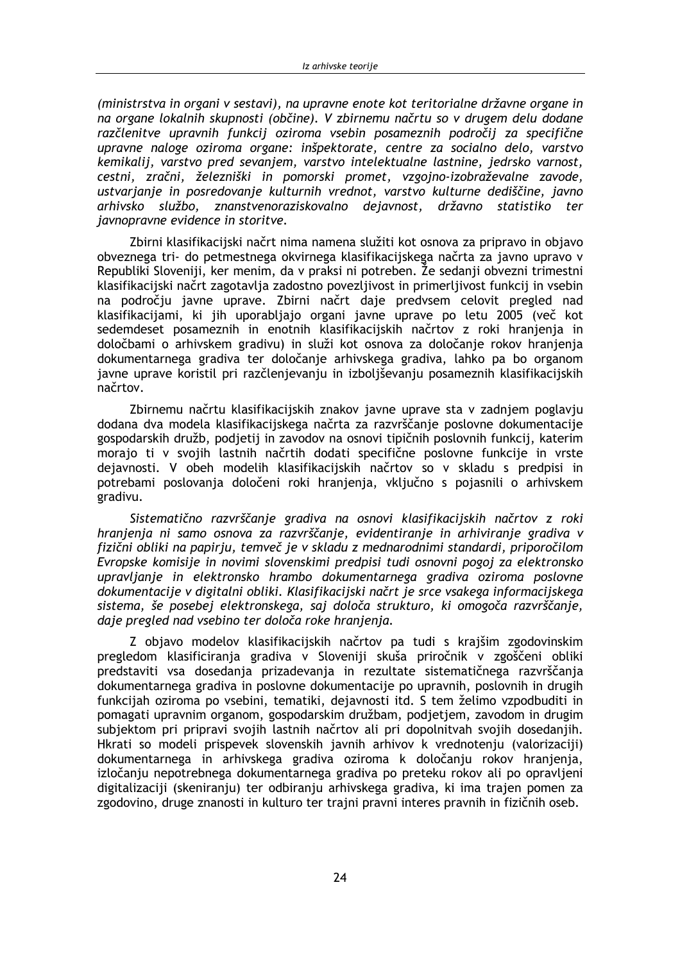(ministrstva in organi v sestavi), na upravne enote kot teritorialne državne organe in na organe lokalnih skupnosti (občine). V zbirnemu načrtu so v drugem delu dodane razčlenitve upravnih funkcij oziroma vsebin posameznih področij za specifične upravne naloge oziroma organe: inšpektorate, centre za socialno delo, varstvo kemikalij, varstvo pred sevanjem, varstvo intelektualne lastnine, jedrsko varnost, cestni, zračni, železniški in pomorski promet, vzgojno-izobraževalne zavode, ustvarjanje in posredovanje kulturnih vrednot, varstvo kulturne dediščine, javno arhivsko službo, znanstvenoraziskovalno dejavnost, državno statistiko ter javnopravne evidence in storitve.

Zbirni klasifikacijski načrt nima namena služiti kot osnova za pripravo in objavo obveznega tri- do petmestnega okvirnega klasifikacijskega načrta za javno upravo v Republiki Sloveniji, ker menim, da v praksi ni potreben. Že sedanji obvezni trimestni klasifikacijski načrt zagotavlja zadostno povezljivost in primerljivost funkcij in vsebin na področju javne uprave. Zbirni načrt daje predvsem celovit pregled nad klasifikacijami, ki jih uporabljajo organi javne uprave po letu 2005 (več kot sedemdeset posameznih in enotnih klasifikacijskih načrtov z roki hranjenja in določbami o arhivskem gradivu) in služi kot osnova za določanje rokov hranjenja dokumentarnega gradiva ter določanje arhivskega gradiva, lahko pa bo organom javne uprave koristil pri razčlenjevanju in izboljševanju posameznih klasifikacijskih načrtov.

Zbirnemu načrtu klasifikacijskih znakov javne uprave sta v zadnjem poglavju dodana dva modela klasifikacijskega načrta za razvrščanje poslovne dokumentacije gospodarskih družb, podjetij in zavodov na osnovi tipičnih poslovnih funkcij, katerim morajo ti v svojih lastnih načrtih dodati specifične poslovne funkcije in vrste dejavnosti. V obeh modelih klasifikacijskih načrtov so v skladu s predpisi in potrebami poslovania določeni roki hranienia, vkliučno s pojasnili o arhivskem gradivu.

Sistematično razvrščanje gradiva na osnovi klasifikacijskih načrtov z roki hranjenja ni samo osnova za razvrščanje, evidentiranje in arhiviranje gradiva v fizični obliki na papirju, temveč je v skladu z mednarodnimi standardi, priporočilom Evropske komisije in novimi slovenskimi predpisi tudi osnovni pogoj za elektronsko upravlianie in elektronsko hrambo dokumentarnega gradiva oziroma poslovne dokumentacije v digitalni obliki. Klasifikacijski načrt je srce vsakega informacijskega sistema, še posebej elektronskega, saj določa strukturo, ki omogoča razvrščanje, daje pregled nad vsebino ter določa roke hranjenja.

Z objavo modelov klasifikacijskih načrtov pa tudi s krajšim zgodovinskim pregledom klasificiranja gradiva v Sloveniji skuša priročnik v zgoščeni obliki predstaviti vsa dosedanja prizadevanja in rezultate sistematičnega razvrščanja dokumentarnega gradiva in poslovne dokumentacije po upravnih, poslovnih in drugih funkcijah oziroma po vsebini, tematiki, dejavnosti itd. S tem želimo vzpodbuditi in pomagati upravnim organom, gospodarskim družbam, podjetjem, zavodom in drugim subjektom pri pripravi svojih lastnih načrtov ali pri dopolnitvah svojih dosedanjih. Hkrati so modeli prispevek slovenskih javnih arhivov k vrednotenju (valorizaciji) dokumentarnega in arhivskega gradiva oziroma k določanju rokov hranjenja, izločanju nepotrebnega dokumentarnega gradiva po preteku rokov ali po opravljeni digitalizaciji (skeniranju) ter odbiranju arhivskega gradiva, ki ima trajen pomen za zgodovino, druge znanosti in kulturo ter trajni pravni interes pravnih in fizičnih oseb.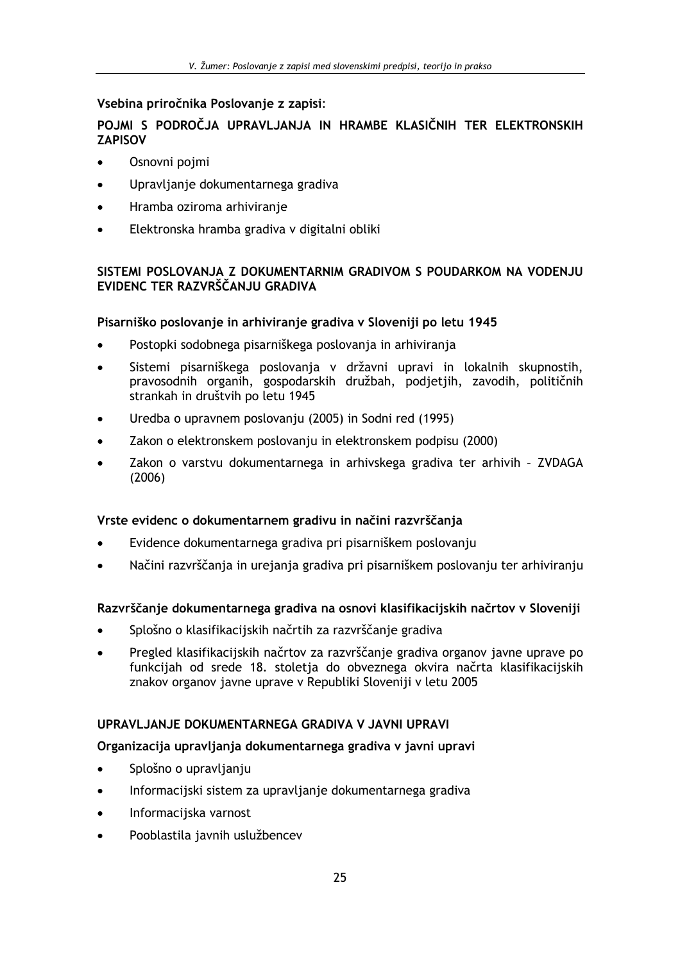## Vsebina priročnika Poslovanie z zapisi:

## POJMI S PODROČJA UPRAVLJANJA IN HRAMBE KLASIČNIH TER ELEKTRONSKIH **ZAPISOV**

- Osnovni pojmi  $\blacksquare$
- Upravljanje dokumentarnega gradiva
- Hramba oziroma arhiviranie
- Elektronska hramba gradiva v digitalni obliki  $\bullet$

## SISTEMI POSLOVANJA Z DOKUMENTARNIM GRADIVOM S POUDARKOM NA VODENJU EVIDENC TER RAZVRŠČANJU GRADIVA

## Pisarniško poslovanje in arhiviranje gradiva v Sloveniji po letu 1945

- Postopki sodobnega pisarniškega poslovanja in arhiviranja
- Sistemi pisarniškega poslovanja v državni upravi in lokalnih skupnostih,  $\bullet$ pravosodnih organih, gospodarskih družbah, podjetjih, zavodih, političnih strankah in društvih po letu 1945
- Uredba o upravnem poslovanju (2005) in Sodni red (1995)  $\bullet$
- Zakon o elektronskem poslovanju in elektronskem podpisu (2000)  $\bullet$
- Zakon o varstvu dokumentarnega in arhivskega gradiva ter arhivih ZVDAGA  $\bullet$  $(2006)$

## Vrste evidenc o dokumentarnem gradivu in načini razvrščanja

- Evidence dokumentarnega gradiva pri pisarniškem poslovanju
- Načini razvrščanja in urejanja gradiva pri pisarniškem poslovanju ter arhiviranju

## Razvrščanje dokumentarnega gradiva na osnovi klasifikacijskih načrtov v Sloveniji

- Splošno o klasifikacijskih načrtih za razvrščanje gradiva
- Pregled klasifikacijskih načrtov za razvrščanje gradiva organov javne uprave po funkcijah od srede 18. stoletja do obveznega okvira načrta klasifikacijskih znakov organov javne uprave v Republiki Sloveniji v letu 2005

## UPRAVLJANJE DOKUMENTARNEGA GRADIVA V JAVNI UPRAVI

## Organizacija upravljanja dokumentarnega gradiva v javni upravi

- Splošno o upravljanju  $\blacksquare$
- Informacijski sistem za upravljanje dokumentarnega gradiva  $\bullet$
- Informacijska varnost  $\bullet$
- Pooblastila javnih uslužbencev  $\blacksquare$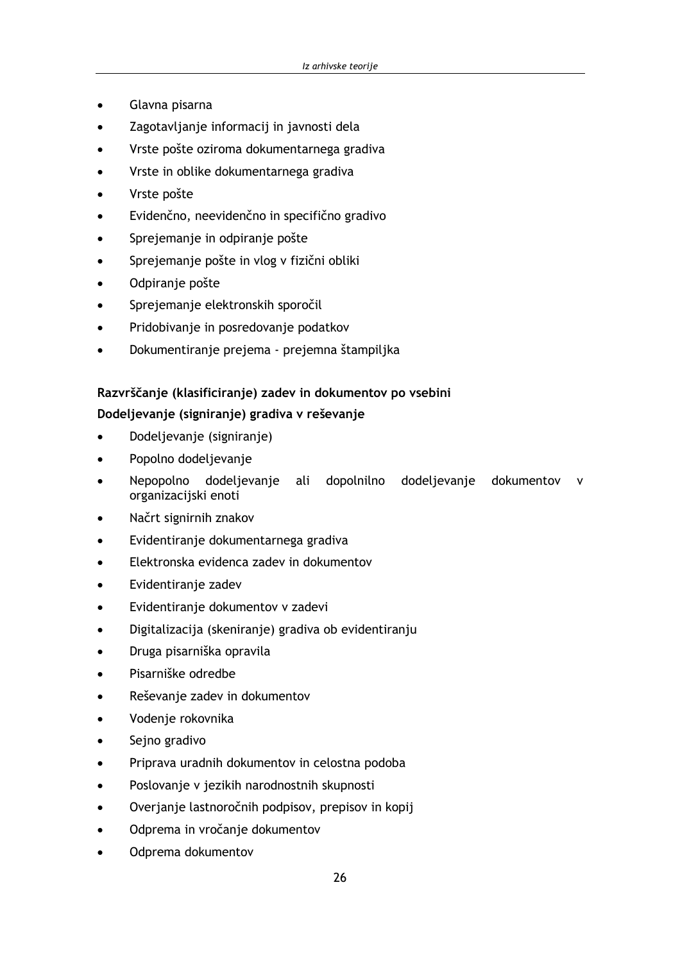- Glavna pisarna
- Zagotavljanje informacij in javnosti dela  $\blacksquare$
- Vrste pošte oziroma dokumentarnega gradiva
- Vrste in oblike dokumentarnega gradiva
- Vrste pošte
- Evidenčno, neevidenčno in specifično gradivo
- Sprejemanje in odpiranje pošte
- Sprejemanje pošte in vlog v fizični obliki
- Odpiranje pošte
- Sprejemanje elektronskih sporočil
- Pridobivanje in posredovanje podatkov
- Dokumentiranje prejema prejemna štampiljka

## Razvrščanje (klasificiranje) zadev in dokumentov po vsebini

## Dodeljevanje (signiranje) gradiva v reševanje

- Dodeljevanje (signiranje)
- Popolno dodeljevanje
- Nepopolno dodeljevanje ali dopolnilno dodeljevanje dokumentov v organizacijski enoti
- Načrt signirnih znakov
- Evidentiranje dokumentarnega gradiva  $\bullet$
- Elektronska evidenca zadev in dokumentov
- Evidentiranje zadev  $\bullet$
- Evidentiranje dokumentov v zadevi
- Digitalizacija (skeniranje) gradiva ob evidentiranju
- Druga pisarniška opravila
- Pisarniške odredbe
- Reševanje zadev in dokumentov
- Vodenje rokovnika
- Sejno gradivo
- Priprava uradnih dokumentov in celostna podoba
- Poslovanje v jezikih narodnostnih skupnosti
- Overjanje lastnoročnih podpisov, prepisov in kopij
- Odprema in vročanje dokumentov
- Odprema dokumentov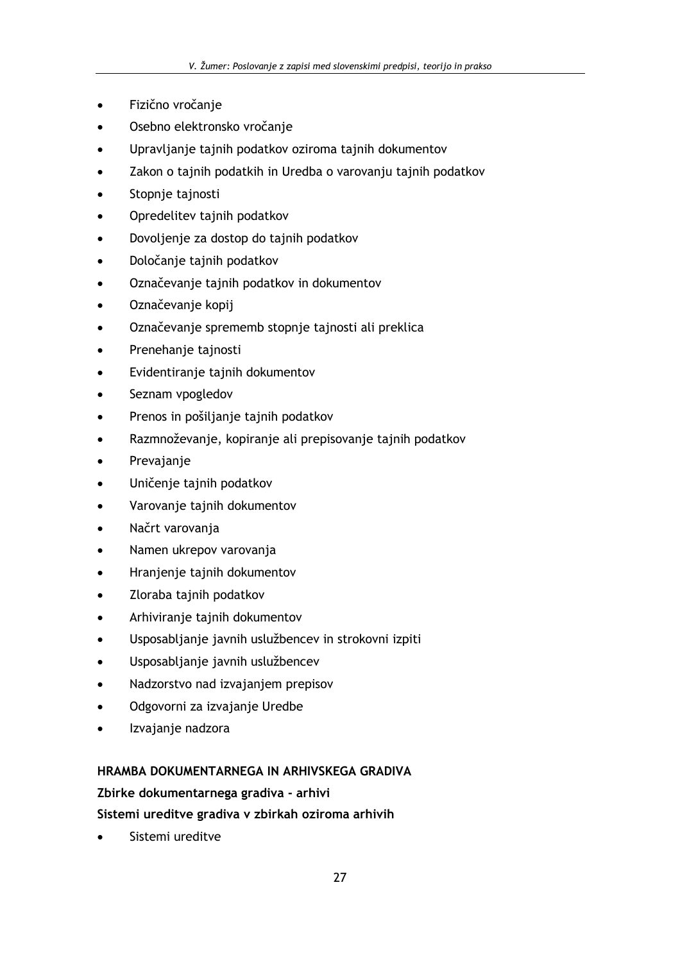- Fizično vročanje
- Osebno elektronsko vročanje
- Upravljanje tajnih podatkov oziroma tajnih dokumentov  $\blacksquare$
- Zakon o tajnih podatkih in Uredba o varovanju tajnih podatkov
- Stopnje tajnosti
- Opredelitev tajnih podatkov
- Dovoljenje za dostop do tajnih podatkov
- Določanje tajnih podatkov
- Označevanje tajnih podatkov in dokumentov
- Označevanje kopij
- Označevanje sprememb stopnje tajnosti ali preklica  $\bullet$
- Prenehanje tajnosti
- Evidentiranje tajnih dokumentov
- Seznam vpogledov
- Prenos in pošiljanje tajnih podatkov
- Razmnoževanje, kopiranje ali prepisovanje tajnih podatkov
- Prevajanje
- Uničenje tajnih podatkov
- Varovanje tajnih dokumentov
- Načrt varovanja
- Namen ukrepov varovanja
- Hranjenje tajnih dokumentov
- Zloraba tajnih podatkov
- Arhiviranje tajnih dokumentov  $\bullet$
- Usposabljanje javnih uslužbencev in strokovni izpiti  $\bullet$
- Usposabljanje javnih uslužbencev  $\bullet$
- Nadzorstvo nad izvajanjem prepisov
- Odgovorni za izvajanje Uredbe
- Izvajanje nadzora

## HRAMBA DOKUMENTARNEGA IN ARHIVSKEGA GRADIVA

## Zbirke dokumentarnega gradiva - arhivi

## Sistemi ureditve gradiva v zbirkah oziroma arhivih

Sistemi ureditve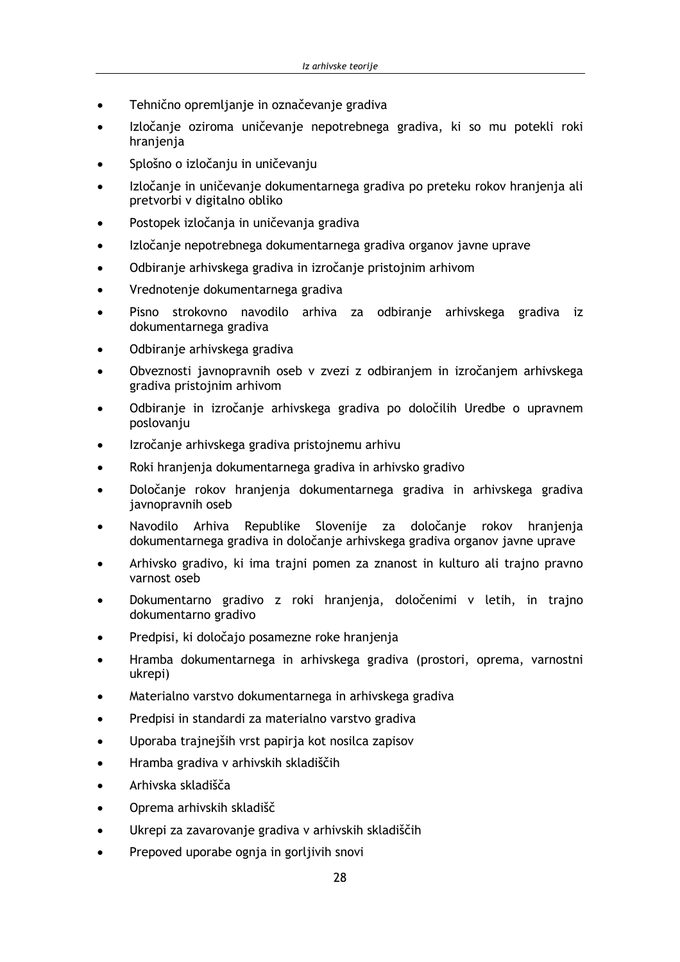- Tehnično opremljanje in označevanje gradiva
- Izločanje oziroma uničevanje nepotrebnega gradiva, ki so mu potekli roki  $\blacktriangle$ hranjenja
- Splošno o izločanju in uničevanju
- Izločanie in uničevanie dokumentarnega gradiva po preteku rokov hranienia ali pretvorbi v digitalno obliko
- Postopek izločanja in uničevanja gradiva
- Izločanie nepotrebnega dokumentarnega gradiva organov javne uprave
- Odbiranje arhivskega gradiva in izročanje pristojnim arhivom
- Vrednotenje dokumentarnega gradiva
- Pisno strokovno navodilo arhiva za odbiranje arhivskega gradiva iz dokumentarnega gradiva
- Odbiranje arhivskega gradiva
- Obveznosti javnopravnih oseb v zvezi z odbiranjem in izročanjem arhivskega gradiva pristojnim arhivom
- Odbiranje in izročanje arhivskega gradiva po določilih Uredbe o upravnem  $\bullet$ poslovanju
- Izročanje arhivskega gradiva pristojnemu arhivu
- Roki hranjenja dokumentarnega gradiva in arhivsko gradivo
- Določanje rokov hranjenja dokumentarnega gradiva in arhivskega gradiva javnopravnih oseb
- Navodilo Arhiva Republike Slovenije za določanje rokov hranjenja dokumentarnega gradiva in določanje arhivskega gradiva organov javne uprave
- Arhivsko gradivo, ki ima trajni pomen za znanost in kulturo ali trajno pravno varnost oseb
- Dokumentarno gradivo z roki hranjenja, določenimi v letih, in trajno dokumentarno gradivo
- Predpisi, ki določajo posamezne roke hranjenja
- Hramba dokumentarnega in arhivskega gradiva (prostori, oprema, varnostni ukrepi)
- Materialno varstvo dokumentarnega in arhivskega gradiva
- Predpisi in standardi za materialno varstvo gradiva
- Uporaba trajnejših vrst papirja kot nosilca zapisov  $\bullet$
- Hramba gradiva v arhivskih skladiščih  $\bullet$
- Arhivska skladišča
- Oprema arhivskih skladišč
- Ukrepi za zavarovanje gradiva v arhivskih skladiščih
- Prepoved uporabe ognia in gorlijvih snovi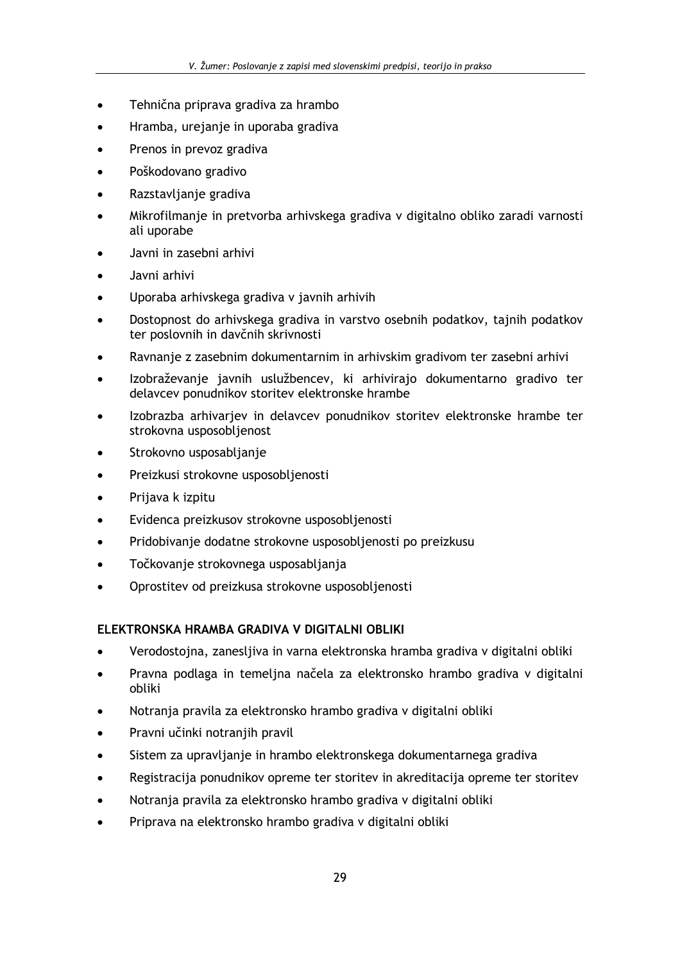- Tehnična priprava gradiva za hrambo
- Hramba, urejanje in uporaba gradiva
- Prenos in prevoz gradiva
- Poškodovano gradivo
- Razstavljanje gradiva
- Mikrofilmanje in pretvorba arhivskega gradiva v digitalno obliko zaradi varnosti ali uporabe
- Javni in zasebni arhivi
- Javni arhivi
- Uporaba arhivskega gradiva v javnih arhivih
- Dostopnost do arhivskega gradiva in varstvo osebnih podatkov, tajnih podatkov ter poslovnih in davčnih skrivnosti
- Ravnanje z zasebnim dokumentarnim in arhivskim gradivom ter zasebni arhivi
- Izobraževanje javnih uslužbencev, ki arhivirajo dokumentarno gradivo ter delavcev ponudnikov storitev elektronske hrambe
- Izobrazba arhivarjev in delavcev ponudnikov storitev elektronske hrambe ter strokovna usposobljenost
- Strokovno usposabljanje
- Preizkusi strokovne usposobljenosti
- Prijava k izpitu
- Evidenca preizkusov strokovne usposobljenosti
- Pridobivanje dodatne strokovne usposobljenosti po preizkusu
- Točkovanje strokovnega usposabljanja
- Oprostitev od preizkusa strokovne usposobljenosti

## ELEKTRONSKA HRAMBA GRADIVA V DIGITALNI OBLIKI

- Verodostojna, zanesljiva in varna elektronska hramba gradiva v digitalni obliki
- Pravna podlaga in temeljna načela za elektronsko hrambo gradiva v digitalni obliki
- Notranja pravila za elektronsko hrambo gradiva v digitalni obliki
- Pravni učinki notranjih pravil
- Sistem za upravljanje in hrambo elektronskega dokumentarnega gradiva
- Registracija ponudnikov opreme ter storitev in akreditacija opreme ter storitev  $\bullet$
- Notranja pravila za elektronsko hrambo gradiva v digitalni obliki  $\bullet$
- Priprava na elektronsko hrambo gradiva v digitalni obliki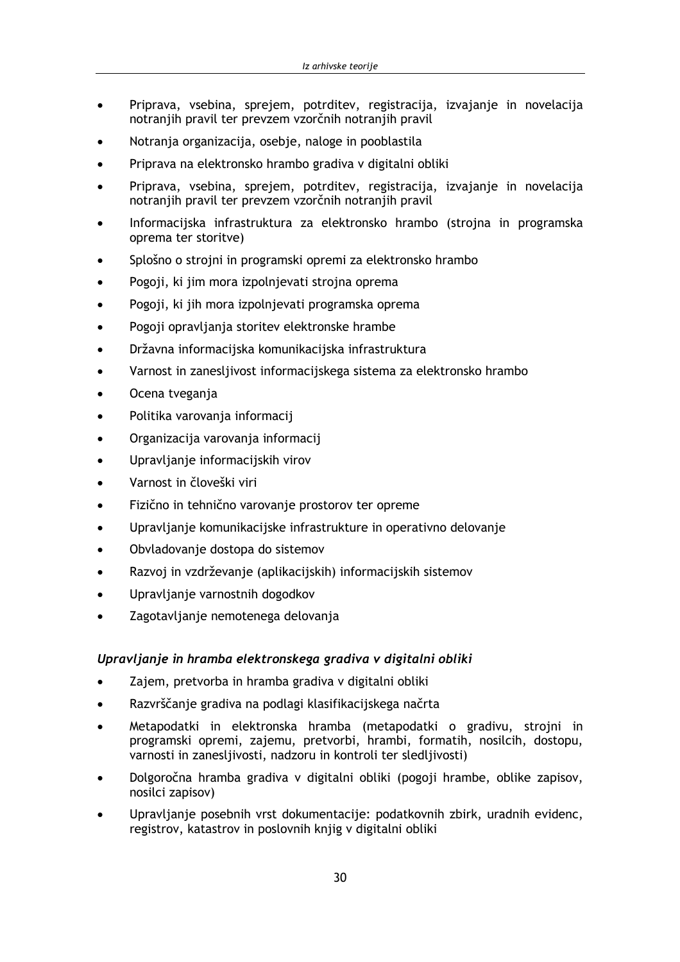- Priprava, vsebina, sprejem, potrditev, registracija, izvajanje in novelacija notranjih pravil ter prevzem vzorčnih notranjih pravil
- Notranja organizacija, osebje, naloge in pooblastila
- Priprava na elektronsko hrambo gradiva v digitalni obliki
- Priprava, vsebina, sprejem, potrditev, registracija, izvajanje in novelacija notranjih pravil ter prevzem vzorčnih notranjih pravil
- Informacijska infrastruktura za elektronsko hrambo (strojna in programska oprema ter storitve)
- Splošno o strojni in programski opremi za elektronsko hrambo
- Pogoji, ki jim mora izpolnjevati strojna oprema
- Pogoji, ki jih mora izpolnjevati programska oprema
- Pogoji opravljanja storitev elektronske hrambe
- Državna informacijska komunikacijska infrastruktura
- Varnost in zanesljivost informacijskega sistema za elektronsko hrambo
- Ocena tveganja
- Politika varovanja informacij
- Organizacija varovanja informacij
- Upravljanje informacijskih virov
- Varnost in človeški viri
- Fizično in tehnično varovanje prostorov ter opreme
- Upravljanje komunikacijske infrastrukture in operativno delovanje
- Obvladovanje dostopa do sistemov
- Razvoj in vzdrževanje (aplikacijskih) informacijskih sistemov
- Upravljanje varnostnih dogodkov
- Zagotavljanje nemotenega delovanja

## Upravljanje in hramba elektronskega gradiva v digitalni obliki

- Zajem, pretvorba in hramba gradiva v digitalni obliki
- Razvrščanje gradiva na podlagi klasifikacijskega načrta  $\blacksquare$
- Metapodatki in elektronska hramba (metapodatki o gradivu, strojni in  $\bullet$ programski opremi, zajemu, pretvorbi, hrambi, formatih, nosilcih, dostopu, varnosti in zanesljivosti, nadzoru in kontroli ter sledljivosti)
- Dolgoročna hramba gradiva v digitalni obliki (pogoji hrambe, oblike zapisov, nosilci zapisov)
- Upravljanje posebnih vrst dokumentacije: podatkovnih zbirk, uradnih evidenc, registrov, katastrov in poslovnih knjig v digitalni obliki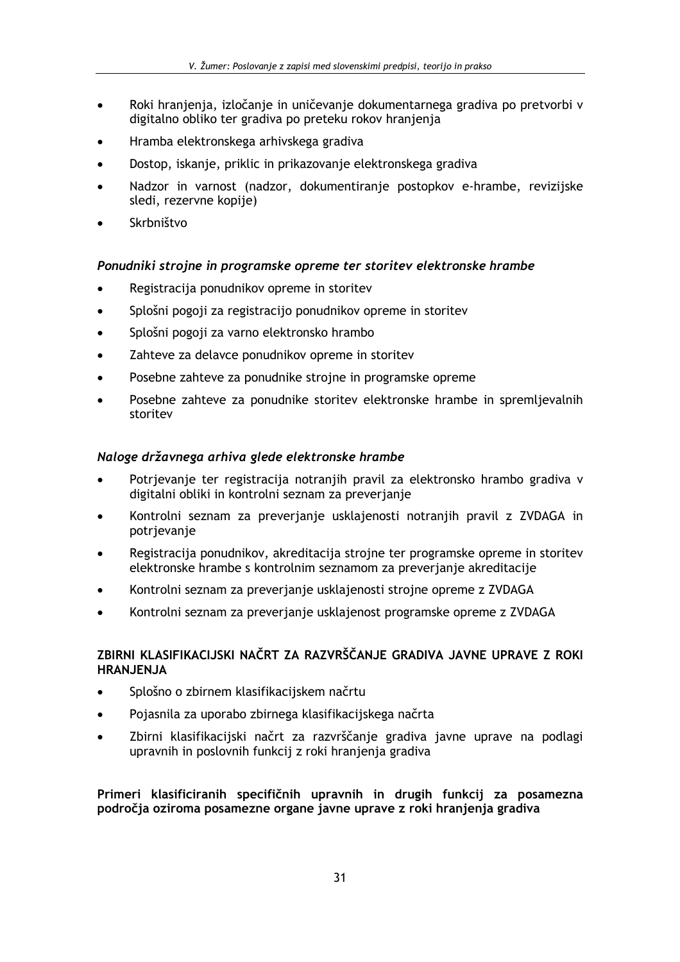- Roki hranjenja, izločanje in uničevanje dokumentarnega gradiva po pretvorbi v digitalno obliko ter gradiva po preteku rokov hranjenja
- Hramba elektronskega arhivskega gradiva
- Dostop, iskanje, priklic in prikazovanje elektronskega gradiva
- Nadzor in varnost (nadzor, dokumentiranie postopkov e-hrambe, revizijske sledi, rezervne kopije)
- Skrbništvo

## Ponudniki strojne in programske opreme ter storitev elektronske hrambe

- Registracija ponudnikov opreme in storitev
- Splošni pogoji za registracijo ponudnikov opreme in storitev
- Splošni pogoji za varno elektronsko hrambo
- Zahteve za delavce ponudnikov opreme in storitev
- Posebne zahteve za ponudnike strojne in programske opreme
- Posebne zahteve za ponudnike storitev elektronske hrambe in spremljevalnih storitev

## Naloge državnega arhiva glede elektronske hrambe

- Potrjevanje ter registracija notranjih pravil za elektronsko hrambo gradiva v digitalni obliki in kontrolni seznam za preverjanje
- Kontrolni seznam za preverjanje usklajenosti notranjih pravil z ZVDAGA in potrjevanje
- Registracija ponudnikov, akreditacija strojne ter programske opreme in storitev elektronske hrambe s kontrolnim seznamom za preverjanje akreditacije
- Kontrolni seznam za preverjanje usklajenosti strojne opreme z ZVDAGA
- Kontrolni seznam za preverjanje usklajenost programske opreme z ZVDAGA

## ZBIRNI KLASIFIKACIJSKI NAČRT ZA RAZVRŠČANJE GRADIVA JAVNE UPRAVE Z ROKI **HRANJENJA**

- Splošno o zbirnem klasifikacijskem načrtu
- Pojasnila za uporabo zbirnega klasifikacijskega načrta
- Zbirni klasifikacijski načrt za razvrščanje gradiva javne uprave na podlagi upravnih in poslovnih funkcij z roki hranjenja gradiva

Primeri klasificiranih specifičnih upravnih in drugih funkcij za posamezna področja oziroma posamezne organe javne uprave z roki hranjenja gradiva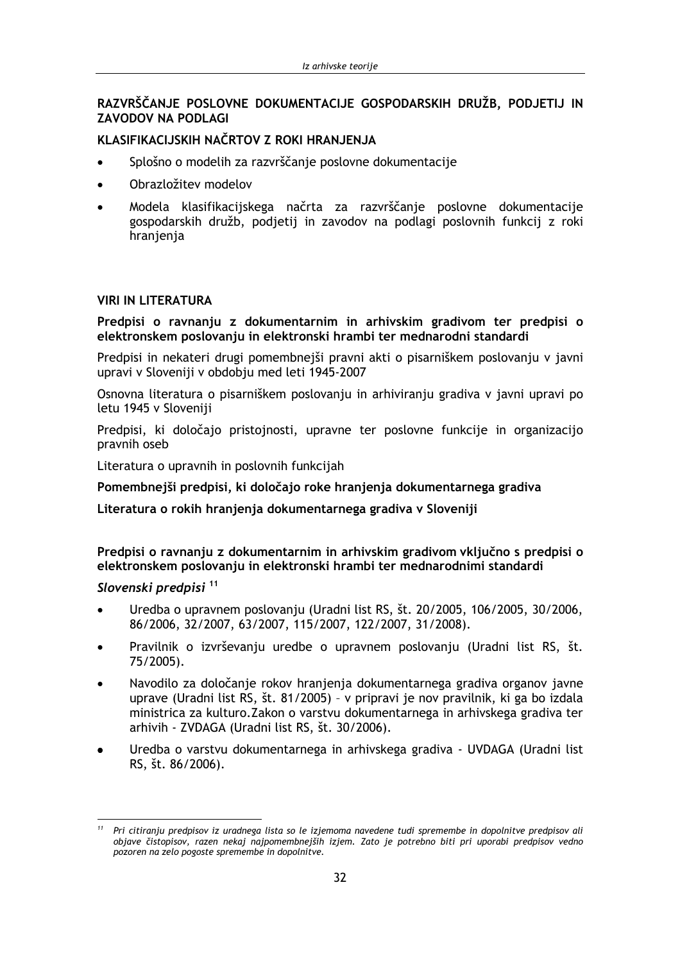## RAZVRŠČANJE POSLOVNE DOKUMENTACIJE GOSPODARSKIH DRUŽB. PODJETIJ IN **ZAVODOV NA PODLAGI**

## KLASIFIKACIJSKIH NAČRTOV Z ROKI HRANJENJA

- Splošno o modelih za razvrščanje poslovne dokumentacije  $\bullet$
- Obrazložitev modelov
- Modela klasifikacijskega načrta za razvrščanie poslovne dokumentacije gospodarskih družb, podjetij in zavodov na podlagi poslovnih funkcij z roki hranjenja

#### **VIRI IN LITERATURA**

Predpisi o ravnanju z dokumentarnim in arhivskim gradivom ter predpisi o elektronskem poslovanju in elektronski hrambi ter mednarodni standardi

Predpisi in nekateri drugi pomembnejši pravni akti o pisarniškem poslovanju v javni upravi v Sloveniji v obdobju med leti 1945-2007

Osnovna literatura o pisarniškem poslovanju in arhiviranju gradiva v javni upravi po letu 1945 v Sloveniji

Predpisi, ki določajo pristojnosti, upravne ter poslovne funkcije in organizacijo pravnih oseb

Literatura o upravnih in poslovnih funkcijah

Pomembnejši predpisi, ki določajo roke hranjenja dokumentarnega gradiva

Literatura o rokih hranjenja dokumentarnega gradiva v Sloveniji

Predpisi o ravnanju z dokumentarnim in arhivskim gradivom vključno s predpisi o elektronskem poslovanju in elektronski hrambi ter mednarodnimi standardi

## Slovenski predpisi<sup>11</sup>

- Uredba o upravnem poslovanju (Uradni list RS, št. 20/2005, 106/2005, 30/2006, 86/2006, 32/2007, 63/2007, 115/2007, 122/2007, 31/2008).
- Pravilnik o izvrševanju uredbe o upravnem poslovanju (Uradni list RS, št. 75/2005).
- Navodilo za določanie rokov hranienia dokumentarnega gradiva organov javne uprave (Uradni list RS, št. 81/2005) - v pripravi je nov pravilnik, ki ga bo izdala ministrica za kulturo. Zakon o varstvu dokumentarnega in arhivskega gradiva ter arhivih - ZVDAGA (Uradni list RS, št. 30/2006).
- Uredba o varstvu dokumentarnega in arhivskega gradiva UVDAGA (Uradni list RS, št. 86/2006).

Pri citiranju predpisov iz uradnega lista so le izjemoma navedene tudi spremembe in dopolnitve predpisov ali objave čistopisov, razen nekaj najpomembnejših izjem. Zato je potrebno biti pri uporabi predpisov vedno pozoren na zelo pogoste spremembe in dopolnitve.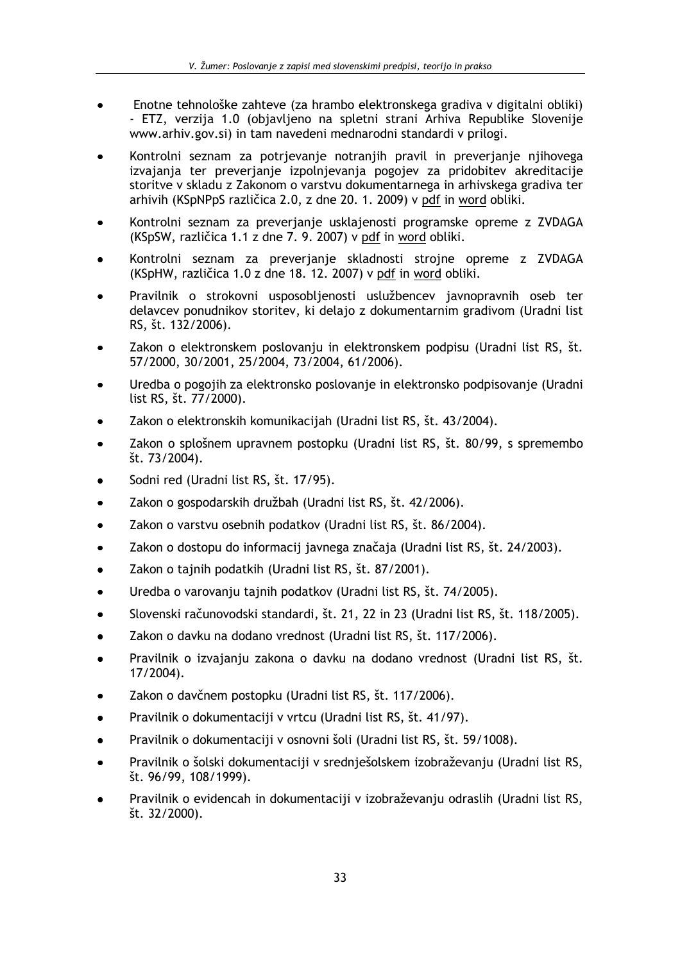- Enotne tehnološke zahteve (za hrambo elektronskega gradiva v digitalni obliki) - ETZ, verzija 1.0 (objavljeno na spletni strani Arhiva Republike Slovenije www.arhiv.gov.si) in tam navedeni mednarodni standardi v prilogi.
- Kontrolni seznam za potrjevanje notranjih pravil in preverjanje njihovega izvajanja ter preverjanje izpolnjevanja pogojev za pridobitev akreditacije storitve v skladu z Zakonom o varstvu dokumentarnega in arhivskega gradiva ter arhivih (KSpNPpS različica 2.0, z dne 20. 1. 2009) v pdf in word obliki.
- Kontrolni seznam za preverjanje usklajenosti programske opreme z ZVDAGA (KSpSW, različica 1.1 z dne 7. 9. 2007) v pdf in word obliki.
- Kontrolni seznam za preverjanje skladnosti strojne opreme z ZVDAGA (KSpHW, različica 1.0 z dne 18. 12. 2007) v pdf in word obliki.
- Pravilnik o strokovni usposobljenosti uslužbencev javnopravnih oseb ter delavcev ponudnikov storitev, ki delajo z dokumentarnim gradivom (Uradni list RS, št. 132/2006).
- Zakon o elektronskem poslovanju in elektronskem podpisu (Uradni list RS, št. 57/2000, 30/2001, 25/2004, 73/2004, 61/2006).
- Uredba o pogojih za elektronsko poslovanje in elektronsko podpisovanje (Uradni list RS, št. 77/2000).
- Zakon o elektronskih komunikacijah (Uradni list RS, št. 43/2004).
- Zakon o splošnem upravnem postopku (Uradni list RS, št. 80/99, s spremembo  $\text{St. } 73/2004$ .
- Sodni red (Uradni list RS, št. 17/95).
- Zakon o gospodarskih družbah (Uradni list RS, št. 42/2006).
- Zakon o varstvu osebnih podatkov (Uradni list RS, št. 86/2004).
- Zakon o dostopu do informacij javnega značaja (Uradni list RS, št. 24/2003).  $\bullet$
- Zakon o tajnih podatkih (Uradni list RS, št. 87/2001).
- Uredba o varovanju tajnih podatkov (Uradni list RS, št. 74/2005).
- Slovenski računovodski standardi, št. 21, 22 in 23 (Uradni list RS, št. 118/2005).  $\bullet$
- Zakon o davku na dodano vrednost (Uradni list RS, št. 117/2006).  $\bullet$
- Pravilnik o izvajanju zakona o davku na dodano vrednost (Uradni list RS, št.  $17/2004$ ).
- Zakon o davčnem postopku (Uradni list RS, št. 117/2006).
- Pravilnik o dokumentaciji v vrtcu (Uradni list RS, št. 41/97).
- Pravilnik o dokumentaciji v osnovni šoli (Uradni list RS, št. 59/1008).
- Pravilnik o šolski dokumentaciji v srednješolskem izobraževanju (Uradni list RS, št. 96/99, 108/1999).
- Pravilnik o evidencah in dokumentaciji v izobraževanju odraslih (Uradni list RS, št. 32/2000).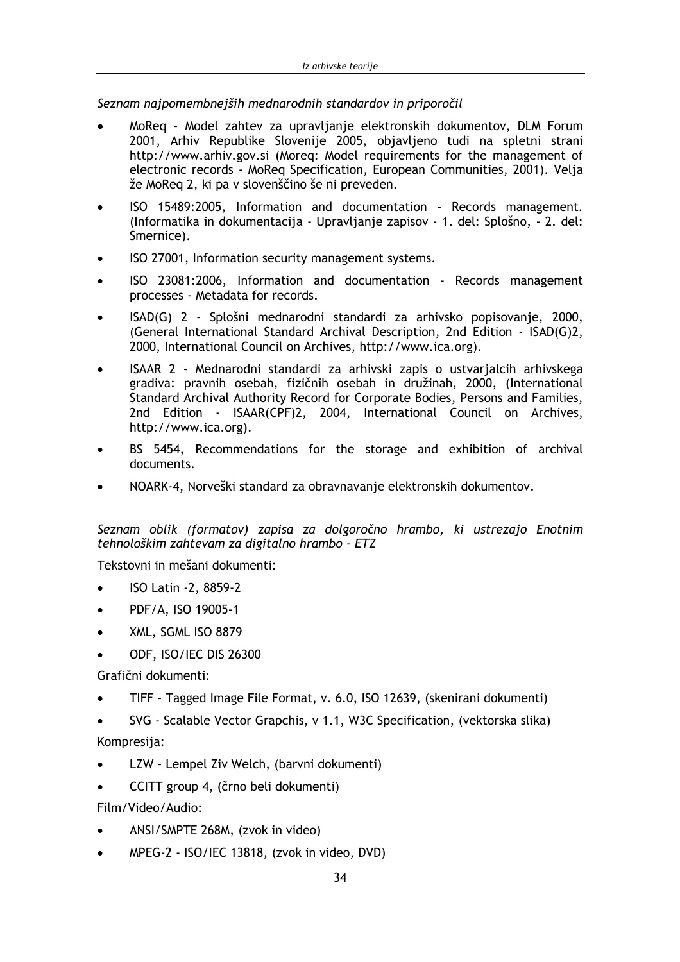Seznam najpomembnejših mednarodnih standardov in priporočil

- MoReg Model zahtev za upravljanje elektronskih dokumentov, DLM Forum 2001, Arhiv Republike Slovenije 2005, objavljeno tudi na spletni strani http://www.arhiv.gov.si (Moreg: Model requirements for the management of electronic records - MoReg Specification, European Communities, 2001). Velja že MoReg 2, ki pa v slovenščino še ni preveden.
- ISO 15489:2005, Information and documentation Records management. (Informatika in dokumentacija - Upravljanje zapisov - 1. del: Splošno, - 2. del: Smernice).
- ISO 27001, Information security management systems.
- ISO 23081:2006, Information and documentation Records management  $\bullet$ processes - Metadata for records.
- ISAD(G) 2 Splošni mednarodni standardi za arhivsko popisovanje, 2000, (General International Standard Archival Description, 2nd Edition - ISAD(G)2, 2000, International Council on Archives, http://www.ica.org).
- ISAAR 2 Mednarodni standardi za arhivski zapis o ustvarialcih arhivskega gradiva: pravnih osebah, fizičnih osebah in družinah, 2000, (International Standard Archival Authority Record for Corporate Bodies, Persons and Families, 2nd Edition - ISAAR(CPF)2, 2004, International Council on Archives, http://www.ica.org).
- BS 5454, Recommendations for the storage and exhibition of archival documents.
- NOARK-4, Norveški standard za obravnavanje elektronskih dokumentov.

Seznam oblik (formatov) zapisa za dolgoročno hrambo, ki ustrezajo Enotnim tehnološkim zahtevam za digitalno hrambo - ETZ

Tekstovni in mešani dokumenti:

- ISO Latin -2, 8859-2
- PDF/A, ISO 19005-1
- XML, SGML ISO 8879
- ODF, ISO/IEC DIS 26300

Grafični dokumenti:

TIFF - Tagged Image File Format, v. 6.0, ISO 12639, (skenirani dokumenti)

SVG - Scalable Vector Grapchis, v 1.1, W3C Specification, (vektorska slika) Kompresija:

- LZW Lempel Ziv Welch, (barvni dokumenti)
- CCITT group 4. (črno beli dokumenti)

Film/Video/Audio:

- ANSI/SMPTE 268M, (zvok in video)
- MPEG-2 ISO/IEC 13818, (zvok in video, DVD)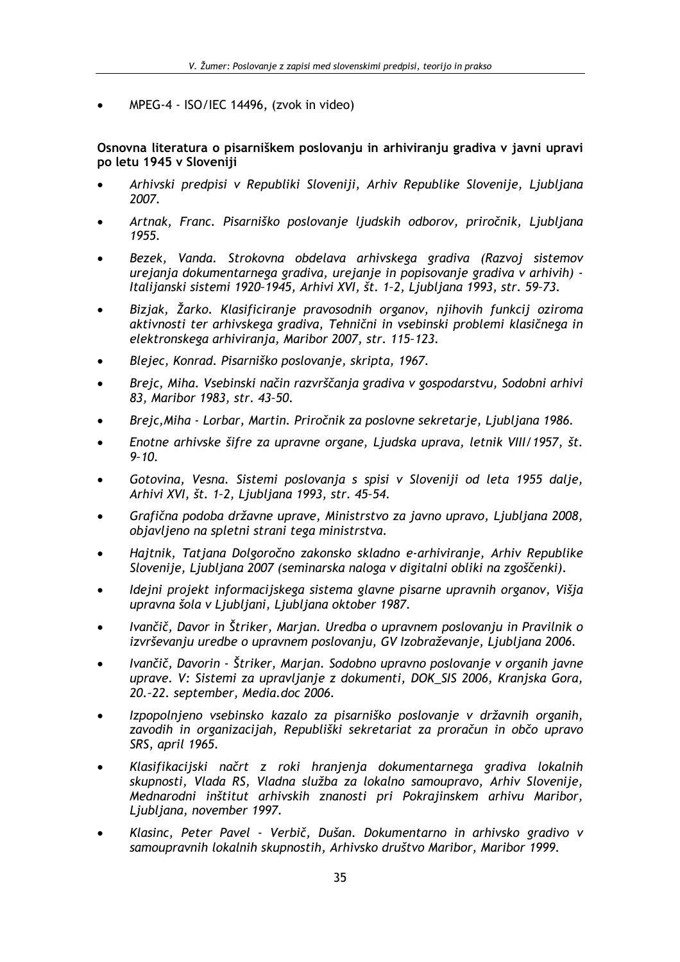MPEG-4 - ISO/IEC 14496, (zvok in video)

Osnovna literatura o pisarniškem poslovanju in arhiviranju gradiva v javni upravi po letu 1945 v Sloveniji

- Arhivski predpisi v Republiki Sloveniji, Arhiv Republike Slovenije, Ljubljana 2007.
- Artnak, Franc. Pisarniško poslovanje ljudskih odborov, priročnik, Ljubljana 1955.
- Bezek, Vanda. Strokovna obdelava arhivskega gradiva (Razvoj sistemov urejanja dokumentarnega gradiva, urejanje in popisovanje gradiva v arhivih) -Italijanski sistemi 1920-1945, Arhivi XVI, št. 1-2, Ljubljana 1993, str. 59-73.
- Bizjak, Žarko. Klasificiranje pravosodnih organov, njihovih funkcij oziroma aktivnosti ter arhivskega gradiva, Tehnični in vsebinski problemi klasičnega in elektronskega arhiviranja, Maribor 2007, str. 115-123.
- Blejec, Konrad. Pisarniško poslovanje, skripta, 1967.
- Brejc, Miha. Vsebinski način razvrščanja gradiva v gospodarstvu, Sodobni arhivi  $\bullet$ 83, Maribor 1983, str. 43-50.
- Brejc, Miha Lorbar, Martin. Priročnik za poslovne sekretarje, Ljubljana 1986.
- Enotne arhivske šifre za upravne organe, Ljudska uprava, letnik VIII/1957, št.  $9 - 10.$
- Gotovina, Vesna. Sistemi poslovanja s spisi v Sloveniji od leta 1955 dalje, Arhivi XVI, št. 1-2, Ljubljana 1993, str. 45-54.
- Grafična podoba državne uprave, Ministrstvo za javno upravo, Ljubljana 2008, objavljeno na spletni strani tega ministrstva.
- Hajtnik, Tatjana Dolgoročno zakonsko skladno e-arhiviranje, Arhiv Republike Slovenije, Ljubljana 2007 (seminarska naloga v digitalni obliki na zgoščenki).
- Ideini proiekt informacijskega sistema glavne pisarne upravnih organov, Višja  $\bullet$ upravna šola v Ljubljani, Ljubljana oktober 1987.
- Ivančič, Davor in Štriker, Marjan. Uredba o upravnem poslovanju in Pravilnik o izvrševanju uredbe o upravnem poslovanju, GV Izobraževanje, Ljubljana 2006.
- Ivančič, Davorin Štriker, Marjan. Sodobno upravno poslovanje v organih javne  $\bullet$ uprave. V: Sistemi za upravljanje z dokumenti, DOK\_SIS 2006, Kranjska Gora, 20.-22. september, Media.doc 2006.
- Izpopolnjeno vsebinsko kazalo za pisarniško poslovanje v državnih organih,  $\bullet$ zavodih in organizacijah, Republiški sekretariat za proračun in občo upravo SRS, april 1965.
- Klasifikacijski načrt z roki hranjenja dokumentarnega gradiva lokalnih skupnosti, Vlada RS, Vladna služba za lokalno samoupravo, Arhiv Slovenije, Mednarodni inštitut arhivskih znanosti pri Pokrajinskem arhivu Maribor, Liubliana, november 1997.
- Klasinc, Peter Pavel Verbič, Dušan, Dokumentarno in arhivsko gradivo v samoupravnih lokalnih skupnostih, Arhivsko društvo Maribor, Maribor 1999.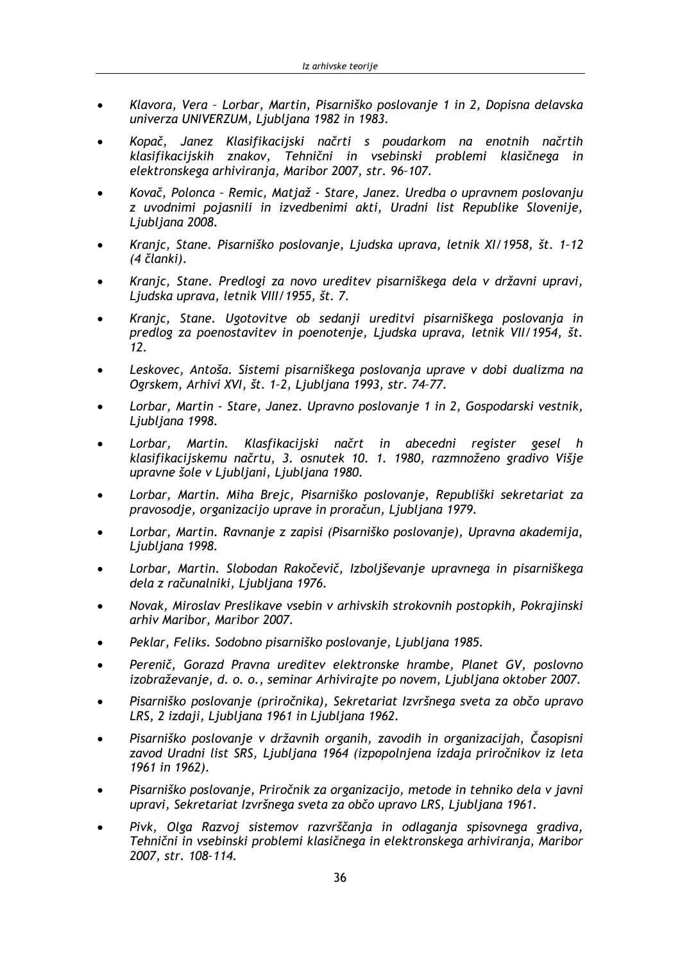- Klavora, Vera Lorbar, Martin, Pisarniško poslovanje 1 in 2, Dopisna delavska univerza UNIVERZUM, Ljubljana 1982 in 1983.
- Kopač, Janez Klasifikacijski načrti s poudarkom na enotnih načrtih klasifikacijskih znakov, Tehnični in vsebinski problemi klasičnega in elektronskega arhiviranja, Maribor 2007, str. 96-107.
- Kovač, Polonca Remic, Matjaž Stare, Janez. Uredba o upravnem poslovanju z uvodnimi pojasnili in izvedbenimi akti, Uradni list Republike Slovenije, Ljubljana 2008.
- Kranjc, Stane. Pisarniško poslovanje, Ljudska uprava, letnik XI/1958, št. 1-12 (4 članki).
- Kranjc, Stane. Predlogi za novo ureditev pisarniškega dela v državni upravi, Ljudska uprava, letnik VIII/1955, št. 7.
- Kranjc, Stane. Ugotovitve ob sedanji ureditvi pisarniškega poslovanja in predlog za poenostavitev in poenotenje, Ljudska uprava, letnik VII/1954, št.  $12.$
- Leskovec, Antoša. Sistemi pisarniškega poslovanja uprave v dobi dualizma na  $\bullet$ Ogrskem, Arhivi XVI, št. 1-2, Ljubljana 1993, str. 74-77.
- Lorbar, Martin Stare, Janez. Upravno poslovanje 1 in 2, Gospodarski vestnik, Ljubljana 1998.
- Lorbar, Martin. Klasfikacijski načrt in abecedni register gesel h klasifikacijskemu načrtu, 3. osnutek 10. 1. 1980, razmnoženo gradivo Višje upravne šole v Ljubljani, Ljubljana 1980.
- Lorbar, Martin. Miha Brejc, Pisarniško poslovanje, Republiški sekretariat za  $\bullet$ pravosodje, organizacijo uprave in proračun, Ljubljana 1979.
- Lorbar, Martin. Ravnanje z zapisi (Pisarniško poslovanje), Upravna akademija, Ljubljana 1998.
- Lorbar, Martin. Slobodan Rakočevič, Izboljševanje upravnega in pisarniškega dela z računalniki, Ljubljana 1976.
- Novak, Miroslav Preslikave vsebin v arhivskih strokovnih postopkih, Pokrajinski arhiv Maribor, Maribor 2007.
- Peklar, Feliks. Sodobno pisarniško poslovanje, Ljubljana 1985.
- Perenič, Gorazd Pravna ureditev elektronske hrambe, Planet GV, poslovno  $\bullet$ izobraževanje, d. o. o., seminar Arhivirajte po novem, Ljubljana oktober 2007.
- Pisarniško poslovanje (priročnika), Sekretariat Izvršnega sveta za občo upravo LRS, 2 izdaji, Ljubljana 1961 in Ljubljana 1962.
- Pisarniško poslovanje v državnih organih, zavodih in organizacijah, Časopisni zavod Uradni list SRS, Ljubljana 1964 (izpopolnjena izdaja priročnikov iz leta 1961 in 1962).
- Pisarniško poslovanje, Priročnik za organizacijo, metode in tehniko dela v javni upravi, Sekretariat Izvršnega sveta za občo upravo LRS, Ljubljana 1961.
- Pivk, Olga Razvoi sistemov razvrščania in odlagania spisovnega gradiva, Tehnični in vsebinski problemi klasičnega in elektronskega arhiviranja, Maribor 2007. str. 108-114.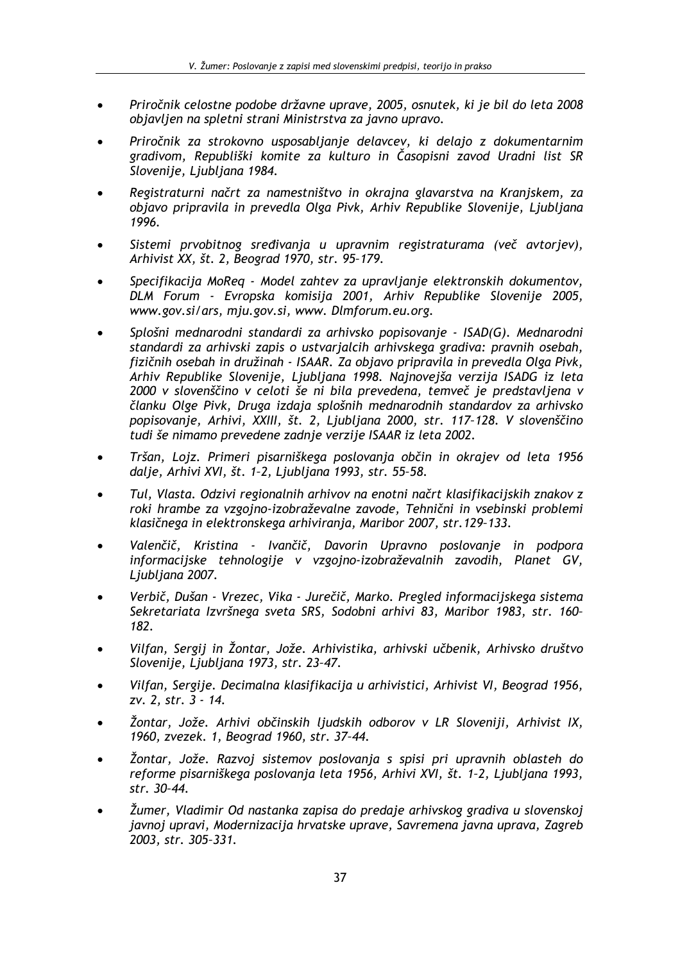- Priročnik celostne podobe državne uprave, 2005, osnutek, ki je bil do leta 2008 objavljen na spletni strani Ministrstva za javno upravo.
- Priročnik za strokovno usposabljanje delavcev, ki delajo z dokumentarnim gradivom, Republiški komite za kulturo in Časopisni zavod Uradni list SR Slovenije, Ljubljana 1984.
- Registraturni načrt za namestništvo in okrajna glavarstva na Kranjskem, za obiavo pripravila in prevedla Olga Pivk, Arhiv Republike Slovenije, Liubliana 1996.
- Sistemi prvobitnog sređivanja u upravnim registraturama (več avtorjev), Arhivist XX, št. 2, Beograd 1970, str. 95-179.
- Specifikacija MoReq Model zahtev za upravljanje elektronskih dokumentov, DLM Forum - Evropska komisija 2001, Arhiv Republike Slovenije 2005, www.gov.si/ars, mju.gov.si, www. Dlmforum.eu.org.
- Splošni mednarodni standardi za arhivsko popisovanje ISAD(G). Mednarodni standardi za arhivski zapis o ustvarjalcih arhivskega gradiva: pravnih osebah, fizičnih osebah in družinah - ISAAR. Za objavo pripravila in prevedla Olga Pivk, Arhiv Republike Slovenije, Ljubljana 1998. Najnovejša verzija ISADG iz leta 2000 v slovenščino v celoti še ni bila prevedena, temveč je predstavljena v članku Olge Pivk, Druga izdaja splošnih mednarodnih standardov za arhivsko popisovanje, Arhivi, XXIII, št. 2, Ljubljana 2000, str. 117-128. V slovenščino tudi še nimamo prevedene zadnje verzije ISAAR iz leta 2002.
- Tršan, Lojz. Primeri pisarniškega poslovanja občin in okrajev od leta 1956  $\bullet$ dalje, Arhivi XVI, št. 1-2, Ljubljana 1993, str. 55-58.
- Tul, Vlasta. Odzivi regionalnih arhivov na enotni načrt klasifikacijskih znakov z roki hrambe za vzgojno-izobraževalne zavode, Tehnični in vsebinski problemi klasičnega in elektronskega arhiviranja, Maribor 2007, str. 129-133.
- Valenčič, Kristina Ivančič, Davorin Upravno poslovanje in podpora informacijske tehnologije v vzgojno-izobraževalnih zavodih, Planet GV, Ljubljana 2007.
- Verbič, Dušan Vrezec, Vika Jurečič, Marko. Pregled informacijskega sistema Sekretariata Izvršnega sveta SRS, Sodobni arhivi 83, Maribor 1983, str. 160-182.
- Vilfan, Sergij in Žontar, Jože. Arhivistika, arhivski učbenik, Arhivsko društvo Slovenije, Ljubljana 1973, str. 23-47.
- Vilfan, Sergije, Decimalna klasifikacija u arhivistici, Arhivist VI, Beograd 1956, zv. 2. str. 3 - 14.
- Žontar, Jože, Arhivi občinskih liudskih odborov v LR Sloveniji, Arhivist IX, 1960, zvezek. 1, Beograd 1960, str. 37-44.
- Žontar, Jože, Razvoi sistemov poslovania s spisi pri upravnih oblasteh do reforme pisarniškega poslovanja leta 1956, Arhivi XVI, št. 1-2, Ljubljana 1993, str. 30-44.
- Žumer, Vladimir Od nastanka zapisa do predaje arhivskog gradiva u slovenskoj javnoj upravi, Modernizacija hrvatske uprave, Savremena javna uprava, Zagreb 2003. str. 305-331.